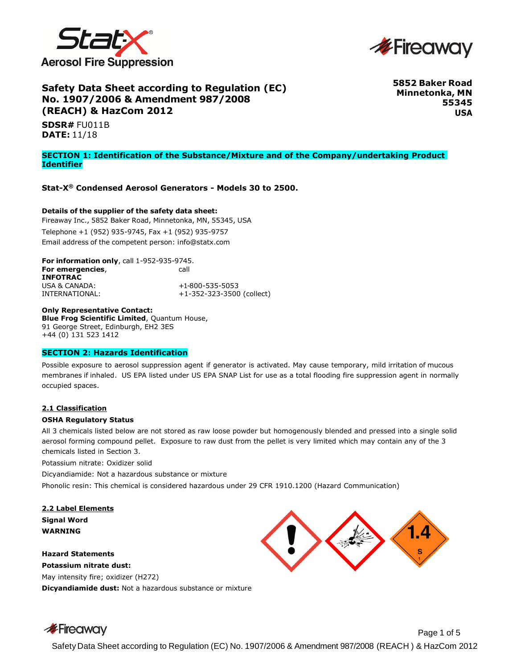



# **Safety Data Sheet according to Regulation (EC) No. 1907/2006 & Amendment 987/2008 (REACH) & HazCom 2012**

**5852 Baker Road Minnetonka, MN 55345 USA**

**SDSR#** FU011B **DATE:** 11/18

#### **SECTION 1: Identification of the Substance/Mixture and of the Company/undertaking Product Identifier**

**Stat-X® Condensed Aerosol Generators - Models 30 to 2500.**

## **Details of the supplier of the safety data sheet:**

Fireaway Inc., 5852 Baker Road, Minnetonka, MN, 55345, USA Telephone +1 (952) 935-9745, Fax +1 (952) 935-9757 Email address of the competent person: [info@statx.com](mailto:info@statx.com)

**For information only**, call 1-952-935-9745. **For emergencies, and a call call INFOTRAC** USA & CANADA: +1-800-535-5053 INTERNATIONAL: +1-352-323-3500 (collect)

**Only Representative Contact: Blue Frog Scientific Limited**, Quantum House, 91 George Street, Edinburgh, EH2 3ES +44 (0) 131 523 1412

# **SECTION 2: Hazards Identification**

Possible exposure to aerosol suppression agent if generator is activated. May cause temporary, mild irritation of mucous membranes if inhaled. US EPA listed under US EPA SNAP List for use as a total flooding fire suppression agent in normally occupied spaces.

#### **2.1 Classification**

#### **OSHA Regulatory Status**

All 3 chemicals listed below are not stored as raw loose powder but homogenously blended and pressed into a single solid aerosol forming compound pellet. Exposure to raw dust from the pellet is very limited which may contain any of the 3 chemicals listed in Section 3.

Potassium nitrate: Oxidizer solid

Dicyandiamide: Not a hazardous substance or mixture

Phonolic resin: This chemical is considered hazardous under 29 CFR 1910.1200 (Hazard Communication)

**2.2 Label Elements Signal Word WARNING**

**Hazard Statements**

**Potassium nitrate dust:**  May intensity fire; oxidizer (H272)

**Dicyandiamide dust:** Not a hazardous substance or mixture



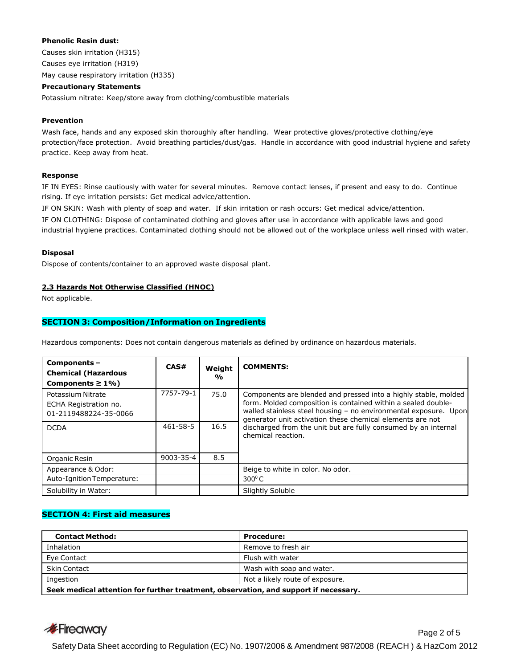## **Phenolic Resin dust:**

Causes skin irritation (H315) Causes eye irritation (H319) May cause respiratory irritation (H335)

#### **Precautionary Statements**

Potassium nitrate: Keep/store away from clothing/combustible materials

#### **Prevention**

Wash face, hands and any exposed skin thoroughly after handling. Wear protective gloves/protective clothing/eye protection/face protection. Avoid breathing particles/dust/gas. Handle in accordance with good industrial hygiene and safety practice. Keep away from heat.

#### **Response**

IF IN EYES: Rinse cautiously with water for several minutes. Remove contact lenses, if present and easy to do. Continue rising. If eye irritation persists: Get medical advice/attention.

IF ON SKIN: Wash with plenty of soap and water. If skin irritation or rash occurs: Get medical advice/attention.

IF ON CLOTHING: Dispose of contaminated clothing and gloves after use in accordance with applicable laws and good industrial hygiene practices. Contaminated clothing should not be allowed out of the workplace unless well rinsed with water.

#### **Disposal**

Dispose of contents/container to an approved waste disposal plant.

#### **2.3 Hazards Not Otherwise Classified (HNOC)**

Not applicable.

## **SECTION 3: Composition/Information on Ingredients**

Hazardous components: Does not contain dangerous materials as defined by ordinance on hazardous materials.

| Components-<br><b>Chemical (Hazardous</b><br>Components $\geq 1\%$ ) | CAS#      | Weight<br>% | <b>COMMENTS:</b>                                                                                                                                                                                                                                                                                                                                          |
|----------------------------------------------------------------------|-----------|-------------|-----------------------------------------------------------------------------------------------------------------------------------------------------------------------------------------------------------------------------------------------------------------------------------------------------------------------------------------------------------|
| Potassium Nitrate<br>ECHA Registration no.<br>01-2119488224-35-0066  | 7757-79-1 | 75.0        | Components are blended and pressed into a highly stable, molded<br>form. Molded composition is contained within a sealed double-<br>walled stainless steel housing - no environmental exposure. Upon<br>generator unit activation these chemical elements are not<br>discharged from the unit but are fully consumed by an internal<br>chemical reaction. |
| <b>DCDA</b>                                                          | 461-58-5  | 16.5        |                                                                                                                                                                                                                                                                                                                                                           |
| Organic Resin                                                        | 9003-35-4 | 8.5         |                                                                                                                                                                                                                                                                                                                                                           |
| Appearance & Odor:                                                   |           |             | Beige to white in color. No odor.                                                                                                                                                                                                                                                                                                                         |
| Auto-Ignition Temperature:                                           |           |             | $300^{\circ}$ C                                                                                                                                                                                                                                                                                                                                           |
| Solubility in Water:                                                 |           |             | Slightly Soluble                                                                                                                                                                                                                                                                                                                                          |

# **SECTION 4: First aid measures**

| <b>Contact Method:</b>                                                               | <b>Procedure:</b>               |  |
|--------------------------------------------------------------------------------------|---------------------------------|--|
| Inhalation                                                                           | Remove to fresh air             |  |
| Eye Contact                                                                          | Flush with water                |  |
| <b>Skin Contact</b>                                                                  | Wash with soap and water.       |  |
| Ingestion                                                                            | Not a likely route of exposure. |  |
| Seek medical attention for further treatment, observation, and support if necessary. |                                 |  |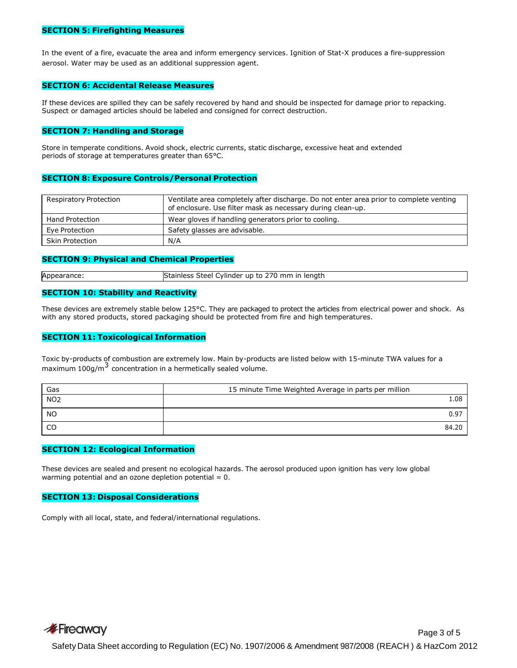### **SECTION 5: Firefighting Measures**

In the event of a fire, evacuate the area and inform emergency services. Ignition of Stat-X produces a fire-suppression aerosol. Water may be used as an additional suppression agent.

### **SECTION 6: Accidental Release Measures**

If these devices are spilled they can be safely recovered by hand and should be inspected for damage prior to repacking. Suspect or damaged articles should be labeled and consigned for correct destruction.

## **SECTION 7: Handling and Storage**

Store in temperate conditions. Avoid shock, electric currents, static discharge, excessive heat and extended periods of storage at temperatures greater than 65°C.

## **SECTION 8: Exposure Controls/Personal Protection**

| <b>Respiratory Protection</b> | Ventilate area completely after discharge. Do not enter area prior to complete venting<br>of enclosure. Use filter mask as necessary during clean-up. |
|-------------------------------|-------------------------------------------------------------------------------------------------------------------------------------------------------|
| <b>Hand Protection</b>        | Wear gloves if handling generators prior to cooling.                                                                                                  |
| Eve Protection                | Safety glasses are advisable.                                                                                                                         |
| <b>Skin Protection</b>        | N/A                                                                                                                                                   |

### **SECTION 9: Physical and Chemical Properties**

| Appe<br>auc | mm<br>Tenatr<br>un<br>vlinder<br>TΩ.<br>$\sim$<br>$\sim$ $\sim$ $\sim$ $\sim$ $\sim$<br>____ |
|-------------|----------------------------------------------------------------------------------------------|
|             |                                                                                              |

## **SECTION 10: Stability and Reactivity**

These devices are extremely stable below 125°C. They are packaged to protect the articles from electrical power and shock. As with any stored products, stored packaging should be protected from fire and high temperatures.

#### **SECTION 11: Toxicological Information**

Toxic by-products of combustion are extremely low. Main by-products are listed below with 15-minute TWA values for a maximum 100g/m $3$  concentration in a hermetically sealed volume.

| Gas             | 15 minute Time Weighted Average in parts per million |
|-----------------|------------------------------------------------------|
| NO <sub>2</sub> | 1.08                                                 |
| <b>NO</b>       | 0.97                                                 |
| CO              | 84.20                                                |

## **SECTION 12: Ecological Information**

These devices are sealed and present no ecological hazards. The aerosol produced upon ignition has very low global warming potential and an ozone depletion potential  $= 0$ .

## **SECTION 13: Disposal Considerations**

Comply with all local, state, and federal/international regulations.

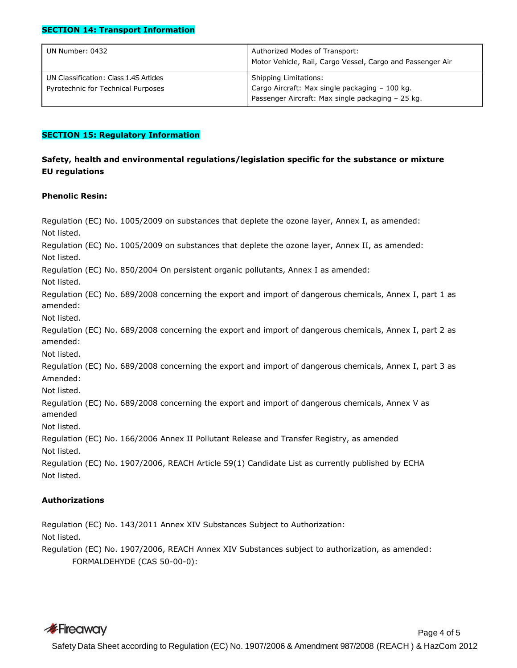# **SECTION 14: Transport Information**

| UN Number: 0432                                                              | Authorized Modes of Transport:<br>Motor Vehicle, Rail, Cargo Vessel, Cargo and Passenger Air                                        |
|------------------------------------------------------------------------------|-------------------------------------------------------------------------------------------------------------------------------------|
| UN Classification: Class 1.4S Articles<br>Pyrotechnic for Technical Purposes | <b>Shipping Limitations:</b><br>Cargo Aircraft: Max single packaging - 100 kg.<br>Passenger Aircraft: Max single packaging - 25 kg. |

# **SECTION 15: Regulatory Information**

# **Safety, health and environmental regulations/legislation specific for the substance or mixture EU regulations**

# **Phenolic Resin:**

Regulation (EC) No. 1005/2009 on substances that deplete the ozone layer, Annex I, as amended: Not listed. Regulation (EC) No. 1005/2009 on substances that deplete the ozone layer, Annex II, as amended: Not listed. Regulation (EC) No. 850/2004 On persistent organic pollutants, Annex I as amended: Not listed. Regulation (EC) No. 689/2008 concerning the export and import of dangerous chemicals, Annex I, part 1 as amended: Not listed. Regulation (EC) No. 689/2008 concerning the export and import of dangerous chemicals, Annex I, part 2 as amended: Not listed. Regulation (EC) No. 689/2008 concerning the export and import of dangerous chemicals, Annex I, part 3 as Amended: Not listed. Regulation (EC) No. 689/2008 concerning the export and import of dangerous chemicals, Annex V as amended Not listed. Regulation (EC) No. 166/2006 Annex II Pollutant Release and Transfer Registry, as amended Not listed. Regulation (EC) No. 1907/2006, REACH Article 59(1) Candidate List as currently published by ECHA Not listed.

# **Authorizations**

Regulation (EC) No. 143/2011 Annex XIV Substances Subject to Authorization: Not listed. Regulation (EC) No. 1907/2006, REACH Annex XIV Substances subject to authorization, as amended: FORMALDEHYDE (CAS 50-00-0):